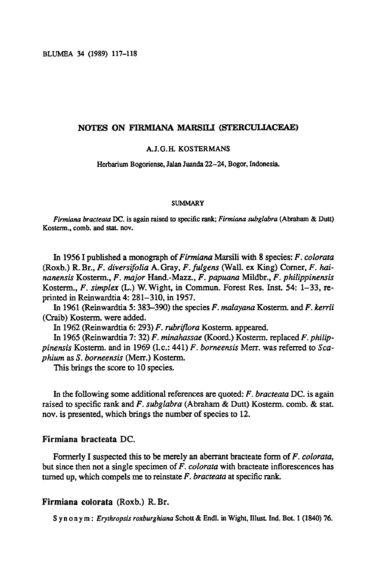BLUMEA 34 (1989) 117-118

# Notes on Firmiana marsili (Sterculiaceae)

#### A.J.G.H. Kostermans

Herbarium Bogoriense, Jalan Juanda 22-24, Bogor, Indonesia.

#### **SUMMARY**

Firmiana bracteata DC. is again raised to specific rank; Firmiana subglabra (Abraham & Dutt) Kosterm., comb, and stat. nov.

In 1956 I published a monograph of Firmiana Marsili with 8 species: F. colorata (Roxb.) R.Br., F. diversifolia A.Gray, F. fulgens (Wall, ex King) Comer, F. hainanensis Kosterm., F. major Hand.-Mazz., F. papuana Mildbr., F. philippinensis Kosterm., F. simplex (L.) W.Wight, in Commun. Forest Res. Inst. 54: 1-33, reprinted in Reinwardtia4: 281-310, in 1957.

In 1961 (Reinwardtia 5: 383-390) the species F. malayana Kosterm. and F. kerrii (Craib) Kosterm. were added.

In 1962(Reinwardtia 6: 293) F. rubriflora Kosterm. appeared.

In 1965 (Reinwardtia 7: 32) F. minahassae (Koord.) Kosterm. replaced F. philippinensis Kosterm. and in 1969 (1.c.: 441) F. borneensis Merr. was referred to Scaphium as S. borneensis (Merr.) Kosterm.

This brings the score to 10 species.

In the following some additional references are quoted:  $F$ . bracteata DC. is again raised to specific rank and F. subglabra (Abraham & Dutt) Kosterm. comb. & stat. nov. is presented, which brings the number of species to 12.

# Firmiana bracteata DC.

Formerly I suspected this to be merely an aberrant bracteate form of F. colorata, but since then not a single specimen of  $F$ . *colorata* with bracteate inflorescences has turned up, which compels me to reinstate  $F$ . *bracteata* at specific rank.

# Firmiana colorata (Roxb.) R. Br.

Synonym: Erythropsis roxburghiana Schott& Endl. in Wight, Illust. Ind. Bot. <sup>1</sup> (1840) 76.